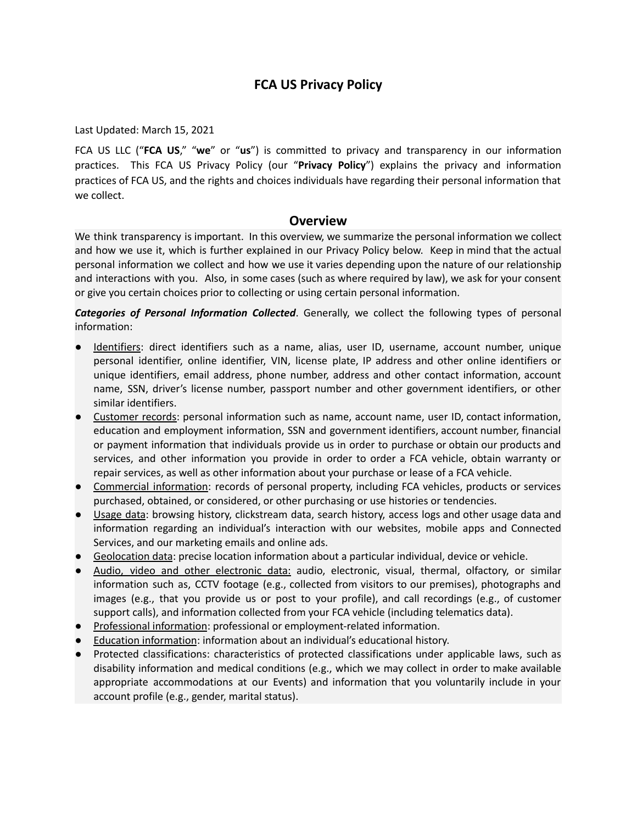# **FCA US Privacy Policy**

Last Updated: March 15, 2021

FCA US LLC ("**FCA US**," "**we**" or "**us**") is committed to privacy and transparency in our information practices. This FCA US Privacy Policy (our "**Privacy Policy**") explains the privacy and information practices of FCA US, and the rights and choices individuals have regarding their personal information that we collect.

# **Overview**

We think transparency is important. In this overview, we summarize the personal information we collect and how we use it, which is further explained in our Privacy Policy below. Keep in mind that the actual personal information we collect and how we use it varies depending upon the nature of our relationship and interactions with you. Also, in some cases (such as where required by law), we ask for your consent or give you certain choices prior to collecting or using certain personal information.

*Categories of Personal Information Collected*. Generally, we collect the following types of personal information:

- Identifiers: direct identifiers such as a name, alias, user ID, username, account number, unique personal identifier, online identifier, VIN, license plate, IP address and other online identifiers or unique identifiers, email address, phone number, address and other contact information, account name, SSN, driver's license number, passport number and other government identifiers, or other similar identifiers.
- **Customer records:** personal information such as name, account name, user ID, contact information, education and employment information, SSN and government identifiers, account number, financial or payment information that individuals provide us in order to purchase or obtain our products and services, and other information you provide in order to order a FCA vehicle, obtain warranty or repair services, as well as other information about your purchase or lease of a FCA vehicle.
- Commercial information: records of personal property, including FCA vehicles, products or services purchased, obtained, or considered, or other purchasing or use histories or tendencies.
- Usage data: browsing history, clickstream data, search history, access logs and other usage data and information regarding an individual's interaction with our websites, mobile apps and Connected Services, and our marketing emails and online ads.
- Geolocation data: precise location information about a particular individual, device or vehicle.
- Audio, video and other electronic data: audio, electronic, visual, thermal, olfactory, or similar information such as, CCTV footage (e.g., collected from visitors to our premises), photographs and images (e.g., that you provide us or post to your profile), and call recordings (e.g., of customer support calls), and information collected from your FCA vehicle (including telematics data).
- Professional information: professional or employment-related information.
- **Education information: information about an individual's educational history.**
- Protected classifications: characteristics of protected classifications under applicable laws, such as disability information and medical conditions (e.g., which we may collect in order to make available appropriate accommodations at our Events) and information that you voluntarily include in your account profile (e.g., gender, marital status).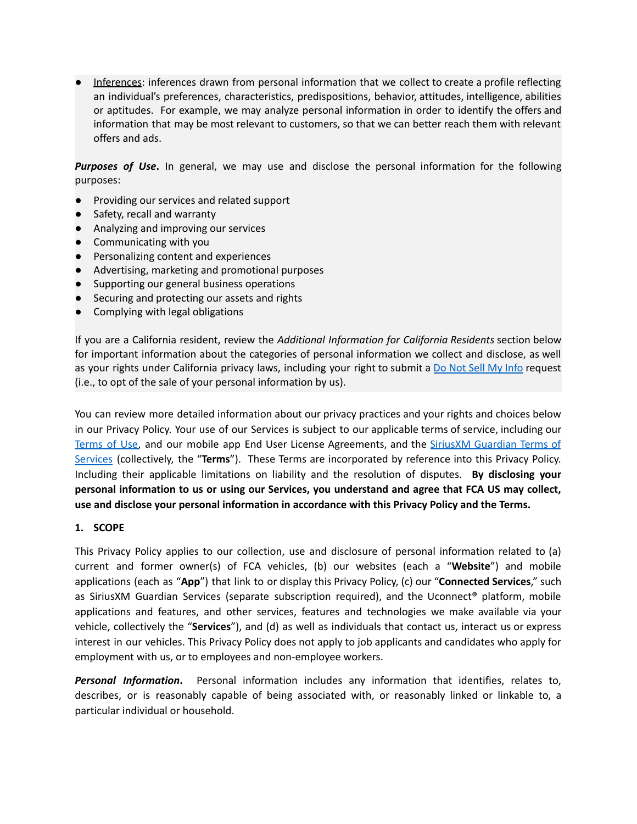Inferences: inferences drawn from personal information that we collect to create a profile reflecting an individual's preferences, characteristics, predispositions, behavior, attitudes, intelligence, abilities or aptitudes. For example, we may analyze personal information in order to identify the offers and information that may be most relevant to customers, so that we can better reach them with relevant offers and ads.

*Purposes of Use***.** In general, we may use and disclose the personal information for the following purposes:

- Providing our services and related support
- Safety, recall and warranty
- Analyzing and improving our services
- Communicating with you
- Personalizing content and experiences
- Advertising, marketing and promotional purposes
- Supporting our general business operations
- Securing and protecting our assets and rights
- Complying with legal obligations

If you are a California resident, review the *Additional Information for California Residents* section below for important information about the categories of personal information we collect and disclose, as well as your rights under California privacy laws, including your right to submit a Do Not Sell My [Info](https://privacyportal-cdn.onetrust.com/dsarwebform/abdee64f-f547-46bd-97a7-f56d58479fce/1c3a169b-1230-4a2e-b664-8785e3763e2c.html) request (i.e., to opt of the sale of your personal information by us).

You can review more detailed information about our privacy practices and your rights and choices below in our Privacy Policy. Your use of our Services is subject to our applicable terms of service, including our [Terms](https://www.chrysler.com/crossbrand_us/terms-of-use) of Use, and our mobile app End User License Agreements, and the SiriusXM [Guardian](https://www.driveuconnect.com/sirius-xm-guardian/terms.html) Terms of [Services](https://www.driveuconnect.com/sirius-xm-guardian/terms.html) (collectively, the "**Terms**"). These Terms are incorporated by reference into this Privacy Policy. Including their applicable limitations on liability and the resolution of disputes. **By disclosing your personal information to us or using our Services, you understand and agree that FCA US may collect, use and disclose your personal information in accordance with this Privacy Policy and the Terms.**

#### **1. SCOPE**

This Privacy Policy applies to our collection, use and disclosure of personal information related to (a) current and former owner(s) of FCA vehicles, (b) our websites (each a "**Website**") and mobile applications (each as "**App**") that link to or display this Privacy Policy, (c) our "**Connected Services**," such as SiriusXM Guardian Services (separate subscription required), and the Uconnect® platform, mobile applications and features, and other services, features and technologies we make available via your vehicle, collectively the "**Services**"), and (d) as well as individuals that contact us, interact us or express interest in our vehicles. This Privacy Policy does not apply to job applicants and candidates who apply for employment with us, or to employees and non-employee workers.

*Personal Information***.** Personal information includes any information that identifies, relates to, describes, or is reasonably capable of being associated with, or reasonably linked or linkable to, a particular individual or household.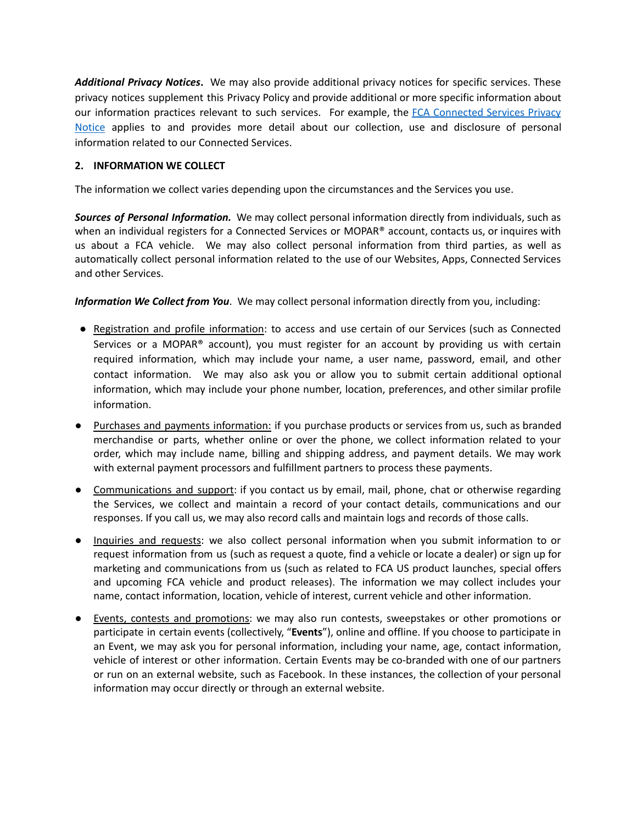*Additional Privacy Notices***.** We may also provide additional privacy notices for specific services. These privacy notices supplement this Privacy Policy and provide additional or more specific information about our information practices relevant to such services. For example, the FCA [Connected](https://www.driveuconnect.com/connectedservices/privacy) Services Privacy [Notice](https://www.driveuconnect.com/connectedservices/privacy) applies to and provides more detail about our collection, use and disclosure of personal information related to our Connected Services.

# **2. INFORMATION WE COLLECT**

The information we collect varies depending upon the circumstances and the Services you use.

*Sources of Personal Information.* We may collect personal information directly from individuals, such as when an individual registers for a Connected Services or MOPAR® account, contacts us, or inquires with us about a FCA vehicle. We may also collect personal information from third parties, as well as automatically collect personal information related to the use of our Websites, Apps, Connected Services and other Services.

*Information We Collect from You*. We may collect personal information directly from you, including:

- Registration and profile information: to access and use certain of our Services (such as Connected Services or a MOPAR<sup>®</sup> account), you must register for an account by providing us with certain required information, which may include your name, a user name, password, email, and other contact information. We may also ask you or allow you to submit certain additional optional information, which may include your phone number, location, preferences, and other similar profile information.
- Purchases and payments information: if you purchase products or services from us, such as branded merchandise or parts, whether online or over the phone, we collect information related to your order, which may include name, billing and shipping address, and payment details. We may work with external payment processors and fulfillment partners to process these payments.
- Communications and support: if you contact us by email, mail, phone, chat or otherwise regarding the Services, we collect and maintain a record of your contact details, communications and our responses. If you call us, we may also record calls and maintain logs and records of those calls.
- Inquiries and requests: we also collect personal information when you submit information to or request information from us (such as request a quote, find a vehicle or locate a dealer) or sign up for marketing and communications from us (such as related to FCA US product launches, special offers and upcoming FCA vehicle and product releases). The information we may collect includes your name, contact information, location, vehicle of interest, current vehicle and other information.
- Events, contests and promotions: we may also run contests, sweepstakes or other promotions or participate in certain events (collectively, "**Events**"), online and offline. If you choose to participate in an Event, we may ask you for personal information, including your name, age, contact information, vehicle of interest or other information. Certain Events may be co-branded with one of our partners or run on an external website, such as Facebook. In these instances, the collection of your personal information may occur directly or through an external website.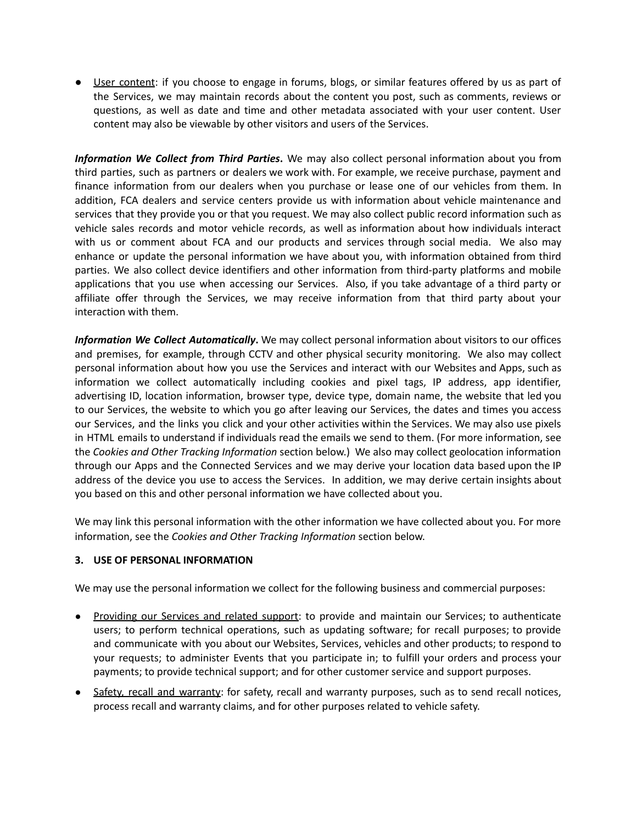● User content: if you choose to engage in forums, blogs, or similar features offered by us as part of the Services, we may maintain records about the content you post, such as comments, reviews or questions, as well as date and time and other metadata associated with your user content. User content may also be viewable by other visitors and users of the Services.

*Information We Collect from Third Parties***.** We may also collect personal information about you from third parties, such as partners or dealers we work with. For example, we receive purchase, payment and finance information from our dealers when you purchase or lease one of our vehicles from them. In addition, FCA dealers and service centers provide us with information about vehicle maintenance and services that they provide you or that you request. We may also collect public record information such as vehicle sales records and motor vehicle records, as well as information about how individuals interact with us or comment about FCA and our products and services through social media. We also may enhance or update the personal information we have about you, with information obtained from third parties. We also collect device identifiers and other information from third-party platforms and mobile applications that you use when accessing our Services. Also, if you take advantage of a third party or affiliate offer through the Services, we may receive information from that third party about your interaction with them.

*Information We Collect Automatically***.** We may collect personal information about visitors to our offices and premises, for example, through CCTV and other physical security monitoring. We also may collect personal information about how you use the Services and interact with our Websites and Apps, such as information we collect automatically including cookies and pixel tags, IP address, app identifier, advertising ID, location information, browser type, device type, domain name, the website that led you to our Services, the website to which you go after leaving our Services, the dates and times you access our Services, and the links you click and your other activities within the Services. We may also use pixels in HTML emails to understand if individuals read the emails we send to them. (For more information, see the *Cookies and Other Tracking Information* section below.) We also may collect geolocation information through our Apps and the Connected Services and we may derive your location data based upon the IP address of the device you use to access the Services. In addition, we may derive certain insights about you based on this and other personal information we have collected about you.

We may link this personal information with the other information we have collected about you. For more information, see the *Cookies and Other Tracking Information* section below.

#### **3. USE OF PERSONAL INFORMATION**

We may use the personal information we collect for the following business and commercial purposes:

- Providing our Services and related support: to provide and maintain our Services; to authenticate users; to perform technical operations, such as updating software; for recall purposes; to provide and communicate with you about our Websites, Services, vehicles and other products; to respond to your requests; to administer Events that you participate in; to fulfill your orders and process your payments; to provide technical support; and for other customer service and support purposes.
- Safety, recall and warranty: for safety, recall and warranty purposes, such as to send recall notices, process recall and warranty claims, and for other purposes related to vehicle safety.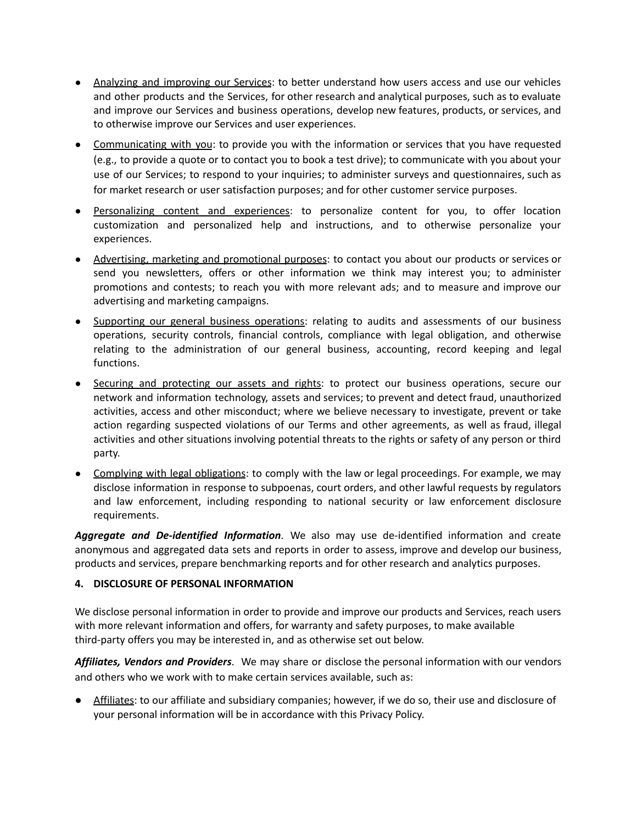- Analyzing and improving our Services: to better understand how users access and use our vehicles and other products and the Services, for other research and analytical purposes, such as to evaluate and improve our Services and business operations, develop new features, products, or services, and to otherwise improve our Services and user experiences.
- Communicating with you: to provide you with the information or services that you have requested (e.g., to provide a quote or to contact you to book a test drive); to communicate with you about your use of our Services; to respond to your inquiries; to administer surveys and questionnaires, such as for market research or user satisfaction purposes; and for other customer service purposes.
- Personalizing content and experiences: to personalize content for you, to offer location customization and personalized help and instructions, and to otherwise personalize your experiences.
- Advertising, marketing and promotional purposes: to contact you about our products or services or send you newsletters, offers or other information we think may interest you; to administer promotions and contests; to reach you with more relevant ads; and to measure and improve our advertising and marketing campaigns.
- Supporting our general business operations: relating to audits and assessments of our business operations, security controls, financial controls, compliance with legal obligation, and otherwise relating to the administration of our general business, accounting, record keeping and legal functions.
- Securing and protecting our assets and rights: to protect our business operations, secure our network and information technology, assets and services; to prevent and detect fraud, unauthorized activities, access and other misconduct; where we believe necessary to investigate, prevent or take action regarding suspected violations of our Terms and other agreements, as well as fraud, illegal activities and other situations involving potential threats to the rights or safety of any person or third party.
- Complying with legal obligations: to comply with the law or legal proceedings. For example, we may disclose information in response to subpoenas, court orders, and other lawful requests by regulators and law enforcement, including responding to national security or law enforcement disclosure requirements.

*Aggregate and De-identified Information*. We also may use de-identified information and create anonymous and aggregated data sets and reports in order to assess, improve and develop our business, products and services, prepare benchmarking reports and for other research and analytics purposes.

# **4. DISCLOSURE OF PERSONAL INFORMATION**

We disclose personal information in order to provide and improve our products and Services, reach users with more relevant information and offers, for warranty and safety purposes, to make available third-party offers you may be interested in, and as otherwise set out below.

*Affiliates, Vendors and Providers*. We may share or disclose the personal information with our vendors and others who we work with to make certain services available, such as:

Affiliates: to our affiliate and subsidiary companies; however, if we do so, their use and disclosure of your personal information will be in accordance with this Privacy Policy.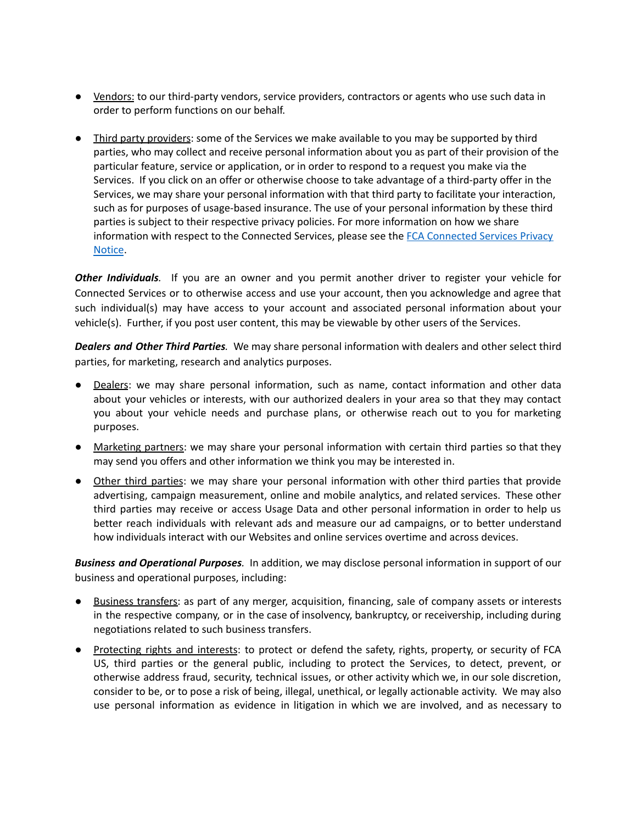- Yendors: to our third-party vendors, service providers, contractors or agents who use such data in order to perform functions on our behalf.
- Third party providers: some of the Services we make available to you may be supported by third parties, who may collect and receive personal information about you as part of their provision of the particular feature, service or application, or in order to respond to a request you make via the Services. If you click on an offer or otherwise choose to take advantage of a third-party offer in the Services, we may share your personal information with that third party to facilitate your interaction, such as for purposes of usage-based insurance. The use of your personal information by these third parties is subject to their respective privacy policies. For more information on how we share information with respect to the Connected Services, please see the FCA [Connected](https://www.driveuconnect.com/connectedservices/privacy) Services Privacy [Notice](https://www.driveuconnect.com/connectedservices/privacy).

*Other Individuals.* If you are an owner and you permit another driver to register your vehicle for Connected Services or to otherwise access and use your account, then you acknowledge and agree that such individual(s) may have access to your account and associated personal information about your vehicle(s). Further, if you post user content, this may be viewable by other users of the Services.

*Dealers and Other Third Parties.* We may share personal information with dealers and other select third parties, for marketing, research and analytics purposes.

- Dealers: we may share personal information, such as name, contact information and other data about your vehicles or interests, with our authorized dealers in your area so that they may contact you about your vehicle needs and purchase plans, or otherwise reach out to you for marketing purposes.
- Marketing partners: we may share your personal information with certain third parties so that they may send you offers and other information we think you may be interested in.
- Other third parties: we may share your personal information with other third parties that provide advertising, campaign measurement, online and mobile analytics, and related services. These other third parties may receive or access Usage Data and other personal information in order to help us better reach individuals with relevant ads and measure our ad campaigns, or to better understand how individuals interact with our Websites and online services overtime and across devices.

*Business and Operational Purposes.* In addition, we may disclose personal information in support of our business and operational purposes, including:

- Business transfers: as part of any merger, acquisition, financing, sale of company assets or interests in the respective company, or in the case of insolvency, bankruptcy, or receivership, including during negotiations related to such business transfers.
- Protecting rights and interests: to protect or defend the safety, rights, property, or security of FCA US, third parties or the general public, including to protect the Services, to detect, prevent, or otherwise address fraud, security, technical issues, or other activity which we, in our sole discretion, consider to be, or to pose a risk of being, illegal, unethical, or legally actionable activity. We may also use personal information as evidence in litigation in which we are involved, and as necessary to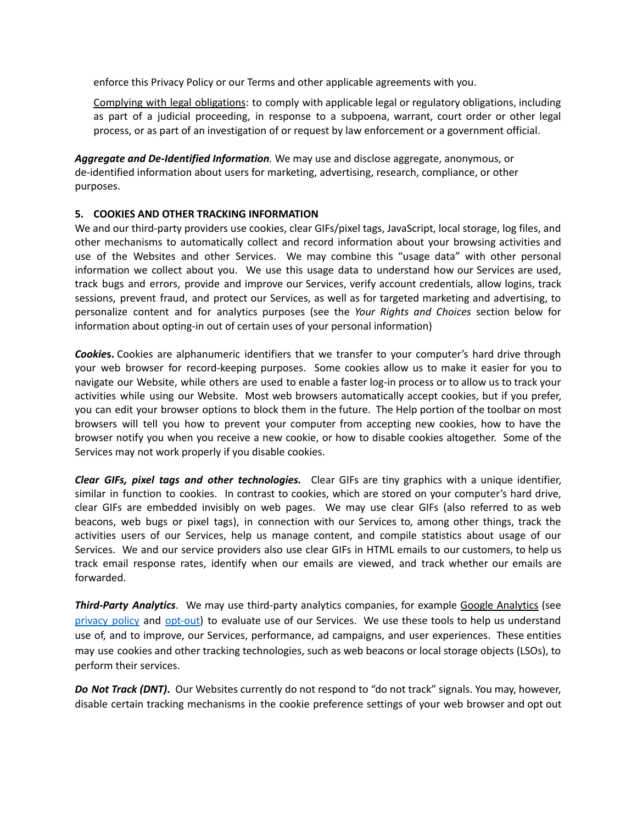enforce this Privacy Policy or our Terms and other applicable agreements with you.

Complying with legal obligations: to comply with applicable legal or regulatory obligations, including as part of a judicial proceeding, in response to a subpoena, warrant, court order or other legal process, or as part of an investigation of or request by law enforcement or a government official.

*Aggregate and De-Identified Information.* We may use and disclose aggregate, anonymous, or de-identified information about users for marketing, advertising, research, compliance, or other purposes.

# **5. COOKIES AND OTHER TRACKING INFORMATION**

We and our third-party providers use cookies, clear GIFs/pixel tags, JavaScript, local storage, log files, and other mechanisms to automatically collect and record information about your browsing activities and use of the Websites and other Services. We may combine this "usage data" with other personal information we collect about you. We use this usage data to understand how our Services are used, track bugs and errors, provide and improve our Services, verify account credentials, allow logins, track sessions, prevent fraud, and protect our Services, as well as for targeted marketing and advertising, to personalize content and for analytics purposes (see the *Your Rights and Choices* section below for information about opting-in out of certain uses of your personal information)

*Cookie***s.** Cookies are alphanumeric identifiers that we transfer to your computer's hard drive through your web browser for record-keeping purposes. Some cookies allow us to make it easier for you to navigate our Website, while others are used to enable a faster log-in process or to allow us to track your activities while using our Website. Most web browsers automatically accept cookies, but if you prefer, you can edit your browser options to block them in the future. The Help portion of the toolbar on most browsers will tell you how to prevent your computer from accepting new cookies, how to have the browser notify you when you receive a new cookie, or how to disable cookies altogether. Some of the Services may not work properly if you disable cookies.

*Clear GIFs, pixel tags and other technologies.* Clear GIFs are tiny graphics with a unique identifier, similar in function to cookies. In contrast to cookies, which are stored on your computer's hard drive, clear GIFs are embedded invisibly on web pages. We may use clear GIFs (also referred to as web beacons, web bugs or pixel tags), in connection with our Services to, among other things, track the activities users of our Services, help us manage content, and compile statistics about usage of our Services. We and our service providers also use clear GIFs in HTML emails to our customers, to help us track email response rates, identify when our emails are viewed, and track whether our emails are forwarded.

*Third-Party Analytics*. We may use third-party analytics companies, for example Google [Analytics](http://www.google.com/intl/en/policies/privacy/) (see [privacy](https://support.google.com/analytics/answer/6004245?hl=en) policy and [opt-out](https://tools.google.com/dlpage/gaoptout)) to evaluate use of our Services. We use these tools to help us understand use of, and to improve, our Services, performance, ad campaigns, and user experiences. These entities may use cookies and other tracking technologies, such as web beacons or local storage objects (LSOs), to perform their services.

*Do Not Track (DNT)***.** Our Websites currently do not respond to "do not track" signals. You may, however, disable certain tracking mechanisms in the cookie preference settings of your web browser and opt out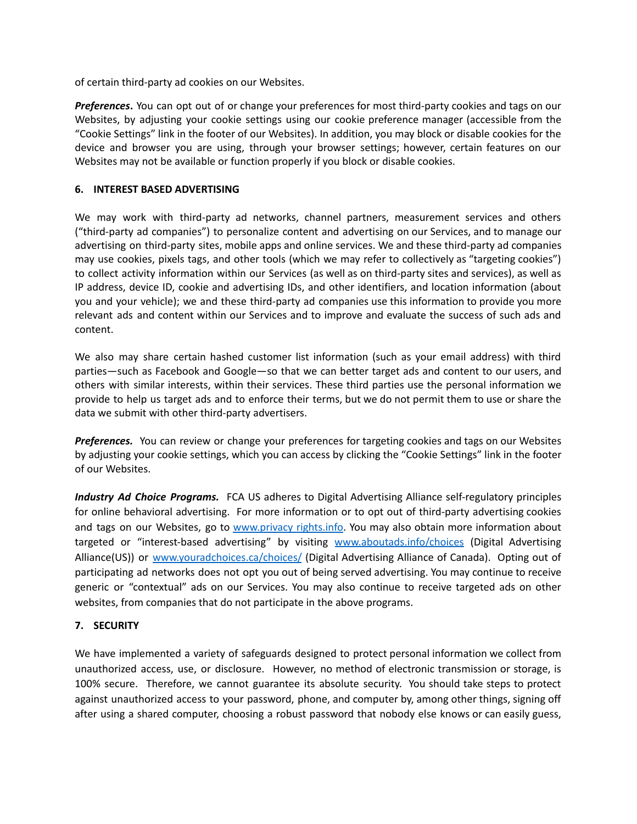of certain third-party ad cookies on our Websites.

*Preferences***.** You can opt out of or change your preferences for most third-party cookies and tags on our Websites, by adjusting your cookie settings using our cookie preference manager (accessible from the "Cookie Settings" link in the footer of our Websites). In addition, you may block or disable cookies for the device and browser you are using, through your browser settings; however, certain features on our Websites may not be available or function properly if you block or disable cookies.

#### **6. INTEREST BASED ADVERTISING**

We may work with third-party ad networks, channel partners, measurement services and others ("third-party ad companies") to personalize content and advertising on our Services, and to manage our advertising on third-party sites, mobile apps and online services. We and these third-party ad companies may use cookies, pixels tags, and other tools (which we may refer to collectively as "targeting cookies") to collect activity information within our Services (as well as on third-party sites and services), as well as IP address, device ID, cookie and advertising IDs, and other identifiers, and location information (about you and your vehicle); we and these third-party ad companies use this information to provide you more relevant ads and content within our Services and to improve and evaluate the success of such ads and content.

We also may share certain hashed customer list information (such as your email address) with third parties—such as Facebook and Google—so that we can better target ads and content to our users, and others with similar interests, within their services. These third parties use the personal information we provide to help us target ads and to enforce their terms, but we do not permit them to use or share the data we submit with other third-party advertisers.

*Preferences.* You can review or change your preferences for targeting cookies and tags on our Websites by adjusting your cookie settings, which you can access by clicking the "Cookie Settings" link in the footer of our Websites.

*Industry Ad Choice Programs.* FCA US adheres to Digital Advertising Alliance self-regulatory principles for online behavioral advertising. For more information or to opt out of third-party advertising cookies and tags on our Websites, go to [www.privacy](http://www.privacyrights.info) rights.info. You may also obtain more information about targeted or "interest-based advertising" by visiting [www.aboutads.info/choices](http://www.aboutads.info/choices) (Digital Advertising Alliance(US)) or [www.youradchoices.ca/choices/](http://www.youradchoices.ca/choices/) (Digital Advertising Alliance of Canada). Opting out of participating ad networks does not opt you out of being served advertising. You may continue to receive generic or "contextual" ads on our Services. You may also continue to receive targeted ads on other websites, from companies that do not participate in the above programs.

#### **7. SECURITY**

We have implemented a variety of safeguards designed to protect personal information we collect from unauthorized access, use, or disclosure. However, no method of electronic transmission or storage, is 100% secure. Therefore, we cannot guarantee its absolute security. You should take steps to protect against unauthorized access to your password, phone, and computer by, among other things, signing off after using a shared computer, choosing a robust password that nobody else knows or can easily guess,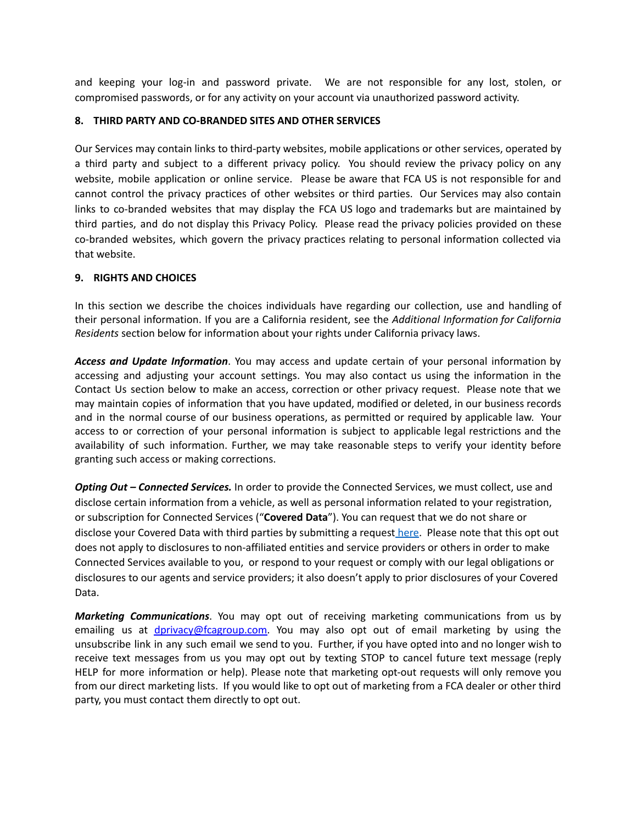and keeping your log-in and password private. We are not responsible for any lost, stolen, or compromised passwords, or for any activity on your account via unauthorized password activity.

### **8. THIRD PARTY AND CO-BRANDED SITES AND OTHER SERVICES**

Our Services may contain links to third-party websites, mobile applications or other services, operated by a third party and subject to a different privacy policy. You should review the privacy policy on any website, mobile application or online service. Please be aware that FCA US is not responsible for and cannot control the privacy practices of other websites or third parties. Our Services may also contain links to co-branded websites that may display the FCA US logo and trademarks but are maintained by third parties, and do not display this Privacy Policy. Please read the privacy policies provided on these co-branded websites, which govern the privacy practices relating to personal information collected via that website.

# **9. RIGHTS AND CHOICES**

In this section we describe the choices individuals have regarding our collection, use and handling of their personal information. If you are a California resident, see the *Additional Information for California Residents* section below for information about your rights under California privacy laws.

*Access and Update Information*. You may access and update certain of your personal information by accessing and adjusting your account settings. You may also contact us using the information in the Contact Us section below to make an access, correction or other privacy request. Please note that we may maintain copies of information that you have updated, modified or deleted, in our business records and in the normal course of our business operations, as permitted or required by applicable law. Your access to or correction of your personal information is subject to applicable legal restrictions and the availability of such information. Further, we may take reasonable steps to verify your identity before granting such access or making corrections.

*Opting Out – Connected Services.* In order to provide the Connected Services, we must collect, use and disclose certain information from a vehicle, as well as personal information related to your registration, or subscription for Connected Services ("**Covered Data**"). You can request that we do not share or disclose your Covered Data with third parties by submitting a request [here.](https://privacyportal.onetrust.com/webform/abdee64f-f547-46bd-97a7-f56d58479fce/7d68420a-1005-4f26-80ae-e115247ecb2d) Please note that this opt out does not apply to disclosures to non-affiliated entities and service providers or others in order to make Connected Services available to you, or respond to your request or comply with our legal obligations or disclosures to our agents and service providers; it also doesn't apply to prior disclosures of your Covered Data.

*Marketing Communications*. You may opt out of receiving marketing communications from us by emailing us at *dprivacy@fcagroup.com*. You may also opt out of email marketing by using the unsubscribe link in any such email we send to you. Further, if you have opted into and no longer wish to receive text messages from us you may opt out by texting STOP to cancel future text message (reply HELP for more information or help). Please note that marketing opt-out requests will only remove you from our direct marketing lists. If you would like to opt out of marketing from a FCA dealer or other third party, you must contact them directly to opt out.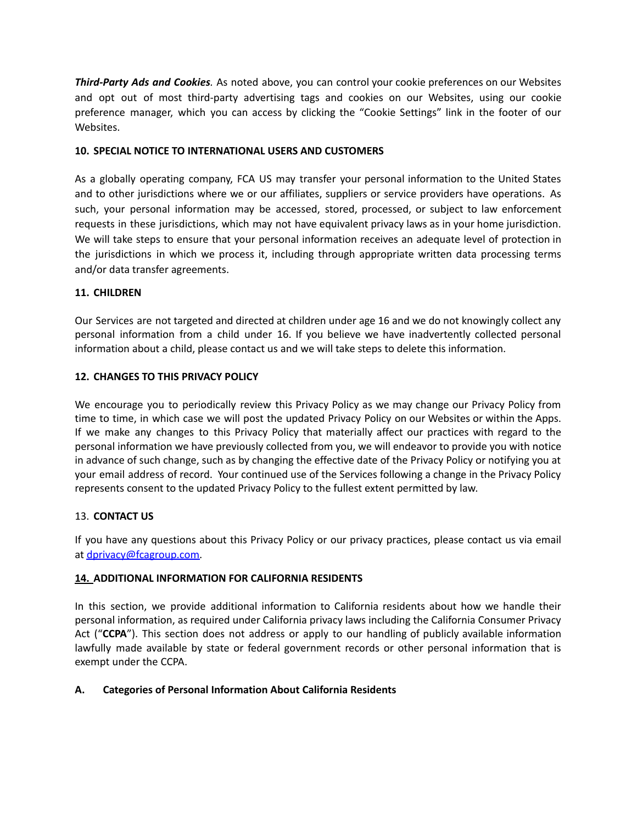*Third-Party Ads and Cookies.* As noted above, you can control your cookie preferences on our Websites and opt out of most third-party advertising tags and cookies on our Websites, using our cookie preference manager, which you can access by clicking the "Cookie Settings" link in the footer of our Websites.

# **10. SPECIAL NOTICE TO INTERNATIONAL USERS AND CUSTOMERS**

As a globally operating company, FCA US may transfer your personal information to the United States and to other jurisdictions where we or our affiliates, suppliers or service providers have operations. As such, your personal information may be accessed, stored, processed, or subject to law enforcement requests in these jurisdictions, which may not have equivalent privacy laws as in your home jurisdiction. We will take steps to ensure that your personal information receives an adequate level of protection in the jurisdictions in which we process it, including through appropriate written data processing terms and/or data transfer agreements.

# **11. CHILDREN**

Our Services are not targeted and directed at children under age 16 and we do not knowingly collect any personal information from a child under 16. If you believe we have inadvertently collected personal information about a child, please contact us and we will take steps to delete this information.

# **12. CHANGES TO THIS PRIVACY POLICY**

We encourage you to periodically review this Privacy Policy as we may change our Privacy Policy from time to time, in which case we will post the updated Privacy Policy on our Websites or within the Apps. If we make any changes to this Privacy Policy that materially affect our practices with regard to the personal information we have previously collected from you, we will endeavor to provide you with notice in advance of such change, such as by changing the effective date of the Privacy Policy or notifying you at your email address of record. Your continued use of the Services following a change in the Privacy Policy represents consent to the updated Privacy Policy to the fullest extent permitted by law.

#### 13. **CONTACT US**

If you have any questions about this Privacy Policy or our privacy practices, please contact us via email at [dprivacy@fcagroup.com.](mailto:dprivacy@fcagroup.com)

#### **14. ADDITIONAL INFORMATION FOR CALIFORNIA RESIDENTS**

In this section, we provide additional information to California residents about how we handle their personal information, as required under California privacy laws including the California Consumer Privacy Act ("**CCPA**"). This section does not address or apply to our handling of publicly available information lawfully made available by state or federal government records or other personal information that is exempt under the CCPA.

#### **A. Categories of Personal Information About California Residents**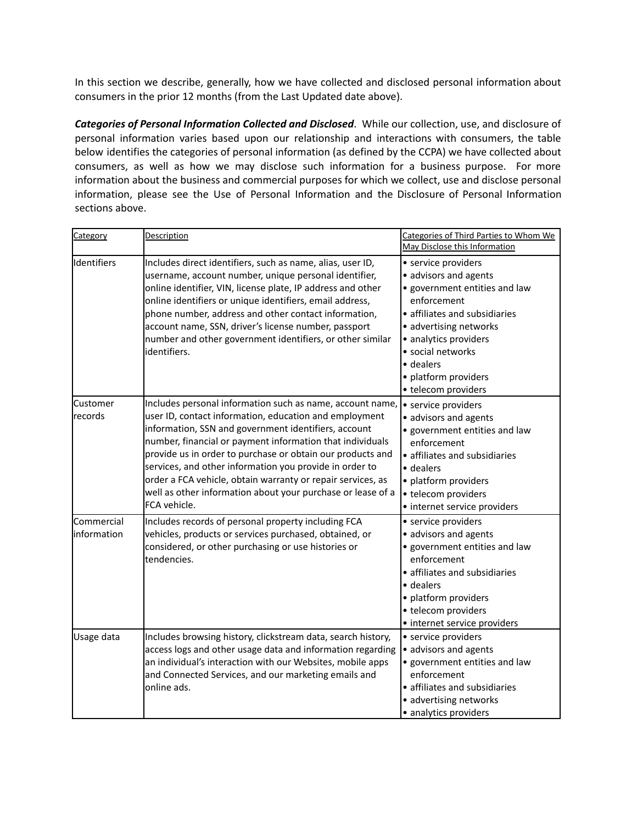In this section we describe, generally, how we have collected and disclosed personal information about consumers in the prior 12 months (from the Last Updated date above).

*Categories of Personal Information Collected and Disclosed*. While our collection, use, and disclosure of personal information varies based upon our relationship and interactions with consumers, the table below identifies the categories of personal information (as defined by the CCPA) we have collected about consumers, as well as how we may disclose such information for a business purpose. For more information about the business and commercial purposes for which we collect, use and disclose personal information, please see the Use of Personal Information and the Disclosure of Personal Information sections above.

| Category                   | <b>Description</b>                                                                                                                                                                                                                                                                                                                                                                                                                                                                                              | Categories of Third Parties to Whom We<br>May Disclose this Information                                                                                                                                                                                           |
|----------------------------|-----------------------------------------------------------------------------------------------------------------------------------------------------------------------------------------------------------------------------------------------------------------------------------------------------------------------------------------------------------------------------------------------------------------------------------------------------------------------------------------------------------------|-------------------------------------------------------------------------------------------------------------------------------------------------------------------------------------------------------------------------------------------------------------------|
| Identifiers                | Includes direct identifiers, such as name, alias, user ID,<br>username, account number, unique personal identifier,<br>online identifier, VIN, license plate, IP address and other<br>online identifiers or unique identifiers, email address,<br>phone number, address and other contact information,<br>account name, SSN, driver's license number, passport<br>number and other government identifiers, or other similar<br>identifiers.                                                                     | • service providers<br>• advisors and agents<br>• government entities and law<br>enforcement<br>· affiliates and subsidiaries<br>• advertising networks<br>• analytics providers<br>· social networks<br>· dealers<br>• platform providers<br>• telecom providers |
| <b>Customer</b><br>records | Includes personal information such as name, account name,<br>user ID, contact information, education and employment<br>information, SSN and government identifiers, account<br>number, financial or payment information that individuals<br>provide us in order to purchase or obtain our products and<br>services, and other information you provide in order to<br>order a FCA vehicle, obtain warranty or repair services, as<br>well as other information about your purchase or lease of a<br>FCA vehicle. | • service providers<br>• advisors and agents<br>• government entities and law<br>enforcement<br>• affiliates and subsidiaries<br>• dealers<br>• platform providers<br>• telecom providers<br>• internet service providers                                         |
| Commercial<br>information  | Includes records of personal property including FCA<br>vehicles, products or services purchased, obtained, or<br>considered, or other purchasing or use histories or<br>tendencies.                                                                                                                                                                                                                                                                                                                             | • service providers<br>• advisors and agents<br>· government entities and law<br>enforcement<br>• affiliates and subsidiaries<br>• dealers<br>• platform providers<br>• telecom providers<br>• internet service providers                                         |
| Usage data                 | Includes browsing history, clickstream data, search history,<br>access logs and other usage data and information regarding<br>an individual's interaction with our Websites, mobile apps<br>and Connected Services, and our marketing emails and<br>online ads.                                                                                                                                                                                                                                                 | • service providers<br>• advisors and agents<br>· government entities and law<br>enforcement<br>• affiliates and subsidiaries<br>· advertising networks<br>• analytics providers                                                                                  |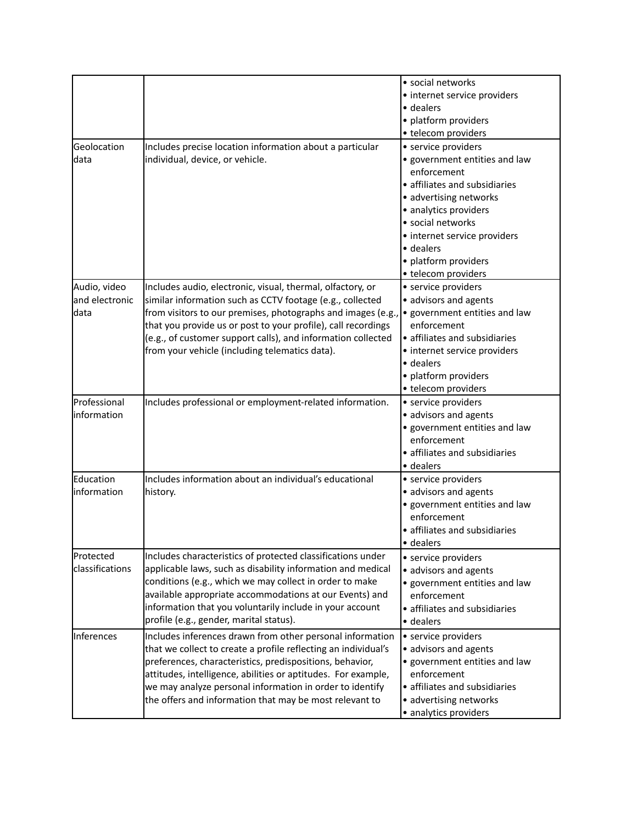| Geolocation                            |                                                                                                                                                                                                                                                                                                                                                                                 | · social networks<br>• internet service providers<br>• dealers<br>• platform providers<br>• telecom providers<br>• service providers                                                                                                              |
|----------------------------------------|---------------------------------------------------------------------------------------------------------------------------------------------------------------------------------------------------------------------------------------------------------------------------------------------------------------------------------------------------------------------------------|---------------------------------------------------------------------------------------------------------------------------------------------------------------------------------------------------------------------------------------------------|
| data                                   | Includes precise location information about a particular<br>individual, device, or vehicle.                                                                                                                                                                                                                                                                                     | • government entities and law<br>enforcement<br>• affiliates and subsidiaries<br>• advertising networks<br>• analytics providers<br>· social networks<br>• internet service providers<br>• dealers<br>• platform providers<br>• telecom providers |
| Audio, video<br>and electronic<br>data | Includes audio, electronic, visual, thermal, olfactory, or<br>similar information such as CCTV footage (e.g., collected<br>from visitors to our premises, photographs and images (e.g.,<br>that you provide us or post to your profile), call recordings<br>(e.g., of customer support calls), and information collected<br>from your vehicle (including telematics data).      | • service providers<br>• advisors and agents<br>• government entities and law<br>enforcement<br>• affiliates and subsidiaries<br>• internet service providers<br>· dealers<br>• platform providers<br>• telecom providers                         |
| Professional<br>linformation           | Includes professional or employment-related information.                                                                                                                                                                                                                                                                                                                        | • service providers<br>• advisors and agents<br>· government entities and law<br>enforcement<br>• affiliates and subsidiaries<br>• dealers                                                                                                        |
| Education<br>information               | Includes information about an individual's educational<br>history.                                                                                                                                                                                                                                                                                                              | • service providers<br>• advisors and agents<br>• government entities and law<br>enforcement<br>· affiliates and subsidiaries<br>· dealers                                                                                                        |
| Protected<br>classifications           | Includes characteristics of protected classifications under<br>applicable laws, such as disability information and medical<br>conditions (e.g., which we may collect in order to make<br>available appropriate accommodations at our Events) and<br>information that you voluntarily include in your account<br>profile (e.g., gender, marital status).                         | • service providers<br>• advisors and agents<br>· government entities and law<br>enforcement<br>• affiliates and subsidiaries<br>• dealers                                                                                                        |
| Inferences                             | Includes inferences drawn from other personal information<br>that we collect to create a profile reflecting an individual's<br>preferences, characteristics, predispositions, behavior,<br>attitudes, intelligence, abilities or aptitudes. For example,<br>we may analyze personal information in order to identify<br>the offers and information that may be most relevant to | • service providers<br>• advisors and agents<br>• government entities and law<br>enforcement<br>• affiliates and subsidiaries<br>• advertising networks<br>• analytics providers                                                                  |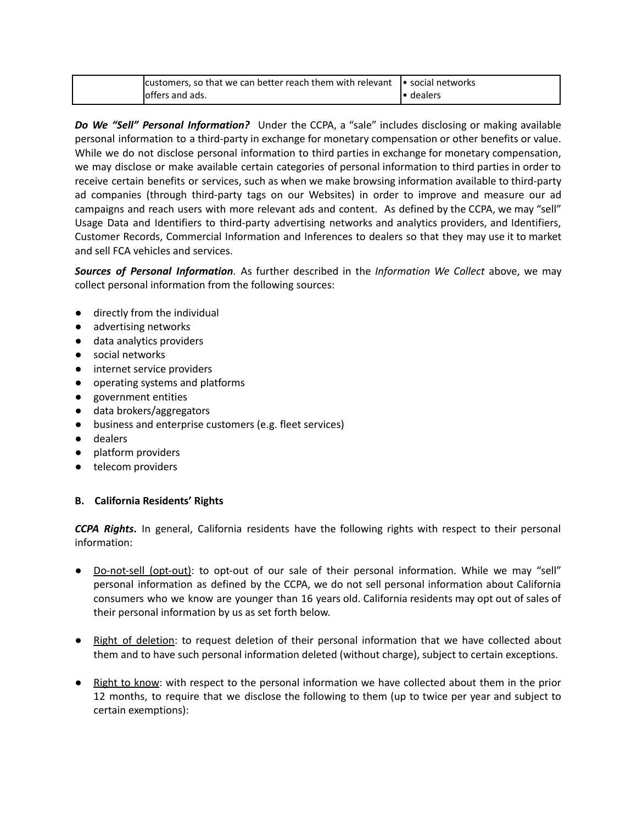| lcustomers, so that we can better reach them with relevant | <b>I</b> social networks |
|------------------------------------------------------------|--------------------------|
| offers and ads.                                            | dealers                  |

*Do We "Sell" Personal Information?* Under the CCPA, a "sale" includes disclosing or making available personal information to a third-party in exchange for monetary compensation or other benefits or value. While we do not disclose personal information to third parties in exchange for monetary compensation, we may disclose or make available certain categories of personal information to third parties in order to receive certain benefits or services, such as when we make browsing information available to third-party ad companies (through third-party tags on our Websites) in order to improve and measure our ad campaigns and reach users with more relevant ads and content. As defined by the CCPA, we may "sell" Usage Data and Identifiers to third-party advertising networks and analytics providers, and Identifiers, Customer Records, Commercial Information and Inferences to dealers so that they may use it to market and sell FCA vehicles and services.

*Sources of Personal Information*. As further described in the *Information We Collect* above, we may collect personal information from the following sources:

- directly from the individual
- advertising networks
- data analytics providers
- social networks
- internet service providers
- operating systems and platforms
- government entities
- data brokers/aggregators
- business and enterprise customers (e.g. fleet services)
- dealers
- platform providers
- telecom providers

#### **B. California Residents' Rights**

*CCPA Rights***.** In general, California residents have the following rights with respect to their personal information:

- Do-not-sell (opt-out): to opt-out of our sale of their personal information. While we may "sell" personal information as defined by the CCPA, we do not sell personal information about California consumers who we know are younger than 16 years old. California residents may opt out of sales of their personal information by us as set forth below.
- Right of deletion: to request deletion of their personal information that we have collected about them and to have such personal information deleted (without charge), subject to certain exceptions.
- Right to know: with respect to the personal information we have collected about them in the prior 12 months, to require that we disclose the following to them (up to twice per year and subject to certain exemptions):